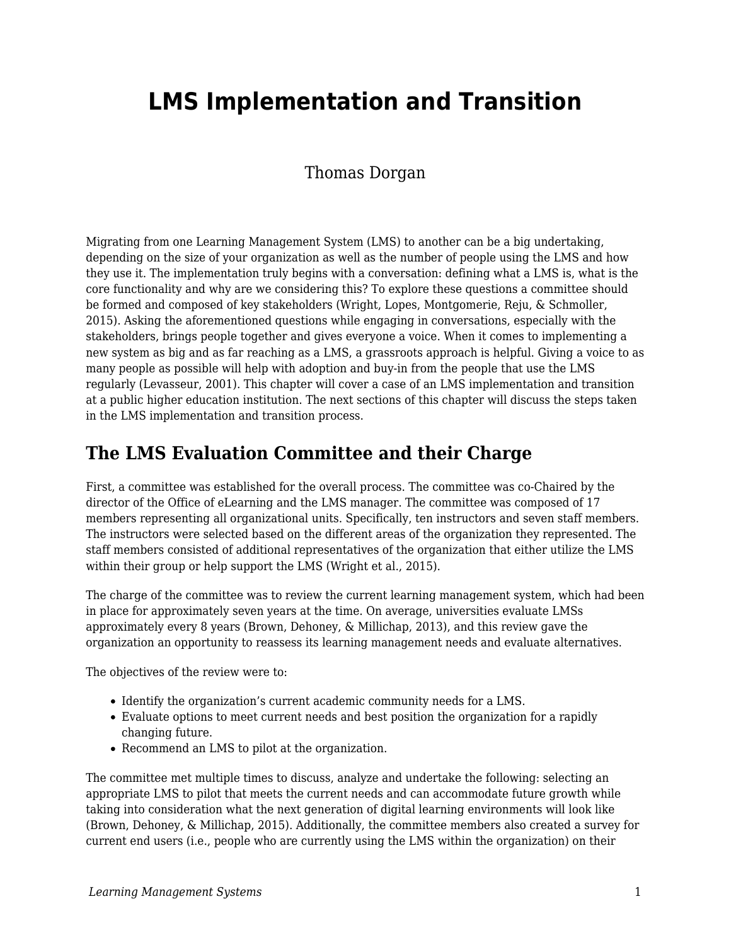# **LMS Implementation and Transition**

### Thomas Dorgan

Migrating from one Learning Management System (LMS) to another can be a big undertaking, depending on the size of your organization as well as the number of people using the LMS and how they use it. The implementation truly begins with a conversation: defining what a LMS is, what is the core functionality and why are we considering this? To explore these questions a committee should be formed and composed of key stakeholders (Wright, Lopes, Montgomerie, Reju, & Schmoller, 2015). Asking the aforementioned questions while engaging in conversations, especially with the stakeholders, brings people together and gives everyone a voice. When it comes to implementing a new system as big and as far reaching as a LMS, a grassroots approach is helpful. Giving a voice to as many people as possible will help with adoption and buy-in from the people that use the LMS regularly (Levasseur, 2001). This chapter will cover a case of an LMS implementation and transition at a public higher education institution. The next sections of this chapter will discuss the steps taken in the LMS implementation and transition process.

### **The LMS Evaluation Committee and their Charge**

First, a committee was established for the overall process. The committee was co-Chaired by the director of the Office of eLearning and the LMS manager. The committee was composed of 17 members representing all organizational units. Specifically, ten instructors and seven staff members. The instructors were selected based on the different areas of the organization they represented. The staff members consisted of additional representatives of the organization that either utilize the LMS within their group or help support the LMS (Wright et al., 2015).

The charge of the committee was to review the current learning management system, which had been in place for approximately seven years at the time. On average, universities evaluate LMSs approximately every 8 years (Brown, Dehoney, & Millichap, 2013), and this review gave the organization an opportunity to reassess its learning management needs and evaluate alternatives.

The objectives of the review were to:

- Identify the organization's current academic community needs for a LMS.
- Evaluate options to meet current needs and best position the organization for a rapidly changing future.
- Recommend an LMS to pilot at the organization.

The committee met multiple times to discuss, analyze and undertake the following: selecting an appropriate LMS to pilot that meets the current needs and can accommodate future growth while taking into consideration what the next generation of digital learning environments will look like (Brown, Dehoney, & Millichap, 2015). Additionally, the committee members also created a survey for current end users (i.e., people who are currently using the LMS within the organization) on their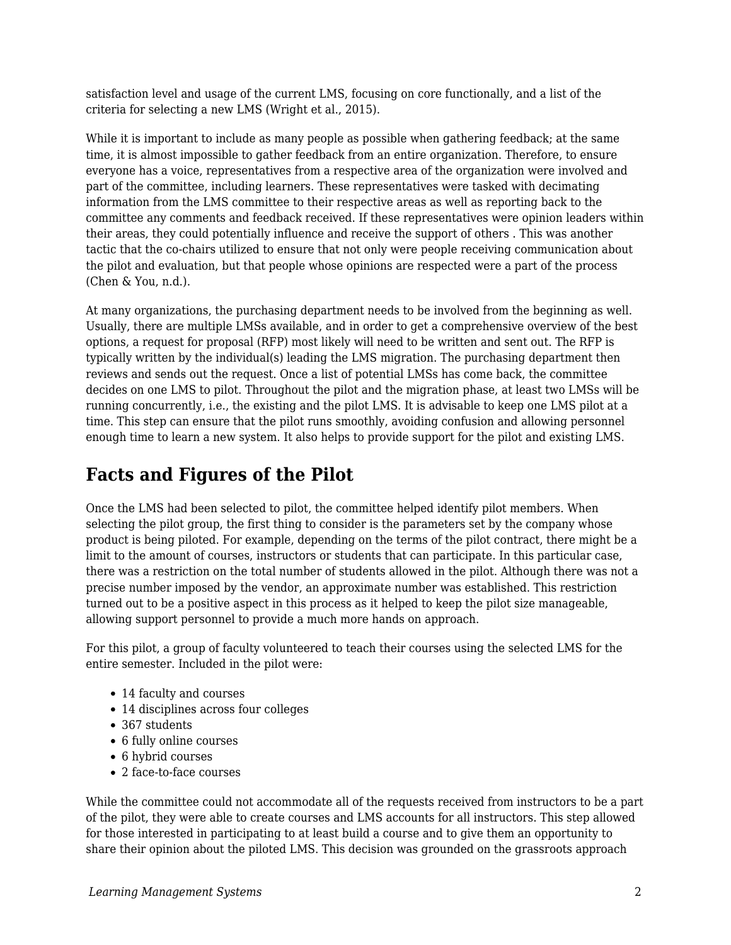satisfaction level and usage of the current LMS, focusing on core functionally, and a list of the criteria for selecting a new LMS (Wright et al., 2015).

While it is important to include as many people as possible when gathering feedback; at the same time, it is almost impossible to gather feedback from an entire organization. Therefore, to ensure everyone has a voice, representatives from a respective area of the organization were involved and part of the committee, including learners. These representatives were tasked with decimating information from the LMS committee to their respective areas as well as reporting back to the committee any comments and feedback received. If these representatives were opinion leaders within their areas, they could potentially influence and receive the support of others . This was another tactic that the co-chairs utilized to ensure that not only were people receiving communication about the pilot and evaluation, but that people whose opinions are respected were a part of the process (Chen & You, n.d.).

At many organizations, the purchasing department needs to be involved from the beginning as well. Usually, there are multiple LMSs available, and in order to get a comprehensive overview of the best options, a request for proposal (RFP) most likely will need to be written and sent out. The RFP is typically written by the individual(s) leading the LMS migration. The purchasing department then reviews and sends out the request. Once a list of potential LMSs has come back, the committee decides on one LMS to pilot. Throughout the pilot and the migration phase, at least two LMSs will be running concurrently, i.e., the existing and the pilot LMS. It is advisable to keep one LMS pilot at a time. This step can ensure that the pilot runs smoothly, avoiding confusion and allowing personnel enough time to learn a new system. It also helps to provide support for the pilot and existing LMS.

### **Facts and Figures of the Pilot**

Once the LMS had been selected to pilot, the committee helped identify pilot members. When selecting the pilot group, the first thing to consider is the parameters set by the company whose product is being piloted. For example, depending on the terms of the pilot contract, there might be a limit to the amount of courses, instructors or students that can participate. In this particular case, there was a restriction on the total number of students allowed in the pilot. Although there was not a precise number imposed by the vendor, an approximate number was established. This restriction turned out to be a positive aspect in this process as it helped to keep the pilot size manageable, allowing support personnel to provide a much more hands on approach.

For this pilot, a group of faculty volunteered to teach their courses using the selected LMS for the entire semester. Included in the pilot were:

- 14 faculty and courses
- 14 disciplines across four colleges
- 367 students
- 6 fully online courses
- 6 hybrid courses
- 2 face-to-face courses

While the committee could not accommodate all of the requests received from instructors to be a part of the pilot, they were able to create courses and LMS accounts for all instructors. This step allowed for those interested in participating to at least build a course and to give them an opportunity to share their opinion about the piloted LMS. This decision was grounded on the grassroots approach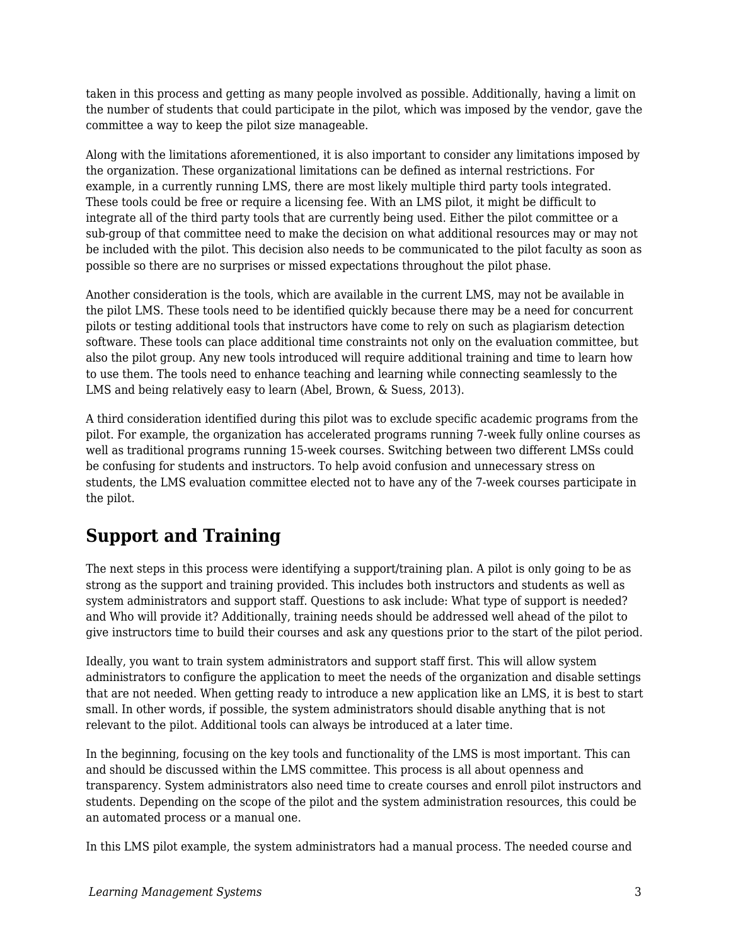taken in this process and getting as many people involved as possible. Additionally, having a limit on the number of students that could participate in the pilot, which was imposed by the vendor, gave the committee a way to keep the pilot size manageable.

Along with the limitations aforementioned, it is also important to consider any limitations imposed by the organization. These organizational limitations can be defined as internal restrictions. For example, in a currently running LMS, there are most likely multiple third party tools integrated. These tools could be free or require a licensing fee. With an LMS pilot, it might be difficult to integrate all of the third party tools that are currently being used. Either the pilot committee or a sub-group of that committee need to make the decision on what additional resources may or may not be included with the pilot. This decision also needs to be communicated to the pilot faculty as soon as possible so there are no surprises or missed expectations throughout the pilot phase.

Another consideration is the tools, which are available in the current LMS, may not be available in the pilot LMS. These tools need to be identified quickly because there may be a need for concurrent pilots or testing additional tools that instructors have come to rely on such as plagiarism detection software. These tools can place additional time constraints not only on the evaluation committee, but also the pilot group. Any new tools introduced will require additional training and time to learn how to use them. The tools need to enhance teaching and learning while connecting seamlessly to the LMS and being relatively easy to learn (Abel, Brown, & Suess, 2013).

A third consideration identified during this pilot was to exclude specific academic programs from the pilot. For example, the organization has accelerated programs running 7-week fully online courses as well as traditional programs running 15-week courses. Switching between two different LMSs could be confusing for students and instructors. To help avoid confusion and unnecessary stress on students, the LMS evaluation committee elected not to have any of the 7-week courses participate in the pilot.

# **Support and Training**

The next steps in this process were identifying a support/training plan. A pilot is only going to be as strong as the support and training provided. This includes both instructors and students as well as system administrators and support staff. Questions to ask include: What type of support is needed? and Who will provide it? Additionally, training needs should be addressed well ahead of the pilot to give instructors time to build their courses and ask any questions prior to the start of the pilot period.

Ideally, you want to train system administrators and support staff first. This will allow system administrators to configure the application to meet the needs of the organization and disable settings that are not needed. When getting ready to introduce a new application like an LMS, it is best to start small. In other words, if possible, the system administrators should disable anything that is not relevant to the pilot. Additional tools can always be introduced at a later time.

In the beginning, focusing on the key tools and functionality of the LMS is most important. This can and should be discussed within the LMS committee. This process is all about openness and transparency. System administrators also need time to create courses and enroll pilot instructors and students. Depending on the scope of the pilot and the system administration resources, this could be an automated process or a manual one.

In this LMS pilot example, the system administrators had a manual process. The needed course and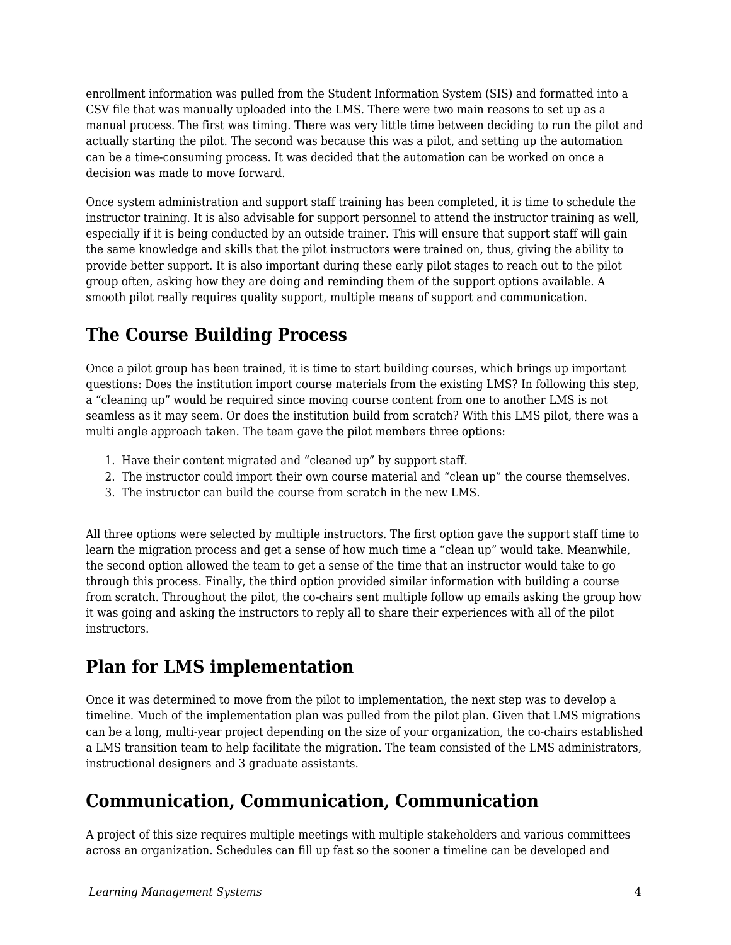enrollment information was pulled from the Student Information System (SIS) and formatted into a CSV file that was manually uploaded into the LMS. There were two main reasons to set up as a manual process. The first was timing. There was very little time between deciding to run the pilot and actually starting the pilot. The second was because this was a pilot, and setting up the automation can be a time-consuming process. It was decided that the automation can be worked on once a decision was made to move forward.

Once system administration and support staff training has been completed, it is time to schedule the instructor training. It is also advisable for support personnel to attend the instructor training as well, especially if it is being conducted by an outside trainer. This will ensure that support staff will gain the same knowledge and skills that the pilot instructors were trained on, thus, giving the ability to provide better support. It is also important during these early pilot stages to reach out to the pilot group often, asking how they are doing and reminding them of the support options available. A smooth pilot really requires quality support, multiple means of support and communication.

# **The Course Building Process**

Once a pilot group has been trained, it is time to start building courses, which brings up important questions: Does the institution import course materials from the existing LMS? In following this step, a "cleaning up" would be required since moving course content from one to another LMS is not seamless as it may seem. Or does the institution build from scratch? With this LMS pilot, there was a multi angle approach taken. The team gave the pilot members three options:

- 1. Have their content migrated and "cleaned up" by support staff.
- 2. The instructor could import their own course material and "clean up" the course themselves.
- 3. The instructor can build the course from scratch in the new LMS.

All three options were selected by multiple instructors. The first option gave the support staff time to learn the migration process and get a sense of how much time a "clean up" would take. Meanwhile, the second option allowed the team to get a sense of the time that an instructor would take to go through this process. Finally, the third option provided similar information with building a course from scratch. Throughout the pilot, the co-chairs sent multiple follow up emails asking the group how it was going and asking the instructors to reply all to share their experiences with all of the pilot instructors.

# **Plan for LMS implementation**

Once it was determined to move from the pilot to implementation, the next step was to develop a timeline. Much of the implementation plan was pulled from the pilot plan. Given that LMS migrations can be a long, multi-year project depending on the size of your organization, the co-chairs established a LMS transition team to help facilitate the migration. The team consisted of the LMS administrators, instructional designers and 3 graduate assistants.

### **Communication, Communication, Communication**

A project of this size requires multiple meetings with multiple stakeholders and various committees across an organization. Schedules can fill up fast so the sooner a timeline can be developed and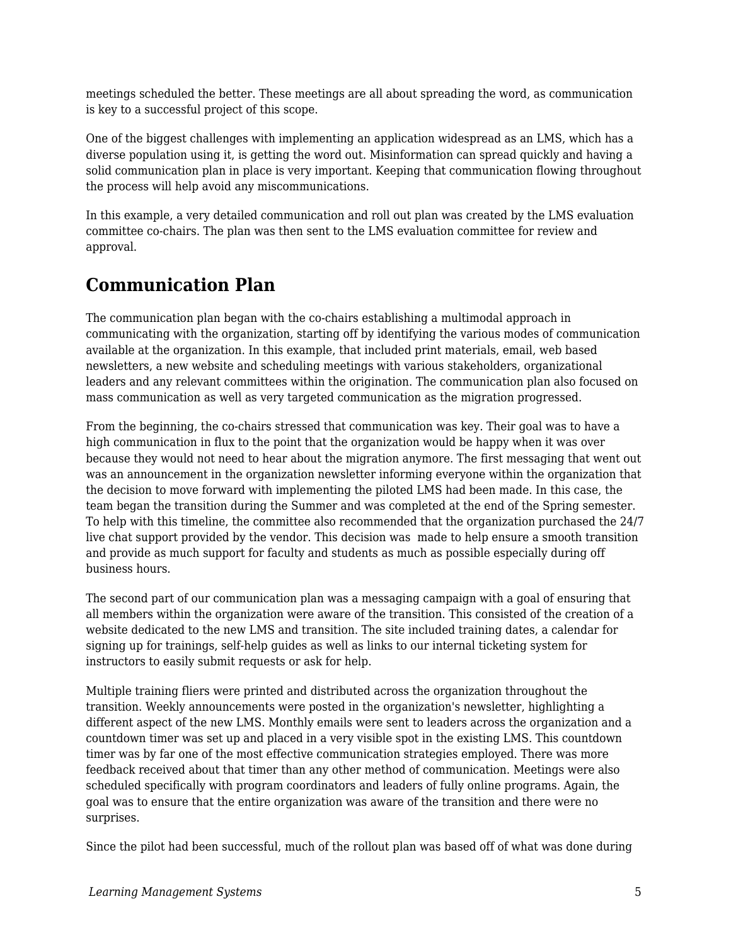meetings scheduled the better. These meetings are all about spreading the word, as communication is key to a successful project of this scope.

One of the biggest challenges with implementing an application widespread as an LMS, which has a diverse population using it, is getting the word out. Misinformation can spread quickly and having a solid communication plan in place is very important. Keeping that communication flowing throughout the process will help avoid any miscommunications.

In this example, a very detailed communication and roll out plan was created by the LMS evaluation committee co-chairs. The plan was then sent to the LMS evaluation committee for review and approval.

# **Communication Plan**

The communication plan began with the co-chairs establishing a multimodal approach in communicating with the organization, starting off by identifying the various modes of communication available at the organization. In this example, that included print materials, email, web based newsletters, a new website and scheduling meetings with various stakeholders, organizational leaders and any relevant committees within the origination. The communication plan also focused on mass communication as well as very targeted communication as the migration progressed.

From the beginning, the co-chairs stressed that communication was key. Their goal was to have a high communication in flux to the point that the organization would be happy when it was over because they would not need to hear about the migration anymore. The first messaging that went out was an announcement in the organization newsletter informing everyone within the organization that the decision to move forward with implementing the piloted LMS had been made. In this case, the team began the transition during the Summer and was completed at the end of the Spring semester. To help with this timeline, the committee also recommended that the organization purchased the 24/7 live chat support provided by the vendor. This decision was made to help ensure a smooth transition and provide as much support for faculty and students as much as possible especially during off business hours.

The second part of our communication plan was a messaging campaign with a goal of ensuring that all members within the organization were aware of the transition. This consisted of the creation of a website dedicated to the new LMS and transition. The site included training dates, a calendar for signing up for trainings, self-help guides as well as links to our internal ticketing system for instructors to easily submit requests or ask for help.

Multiple training fliers were printed and distributed across the organization throughout the transition. Weekly announcements were posted in the organization's newsletter, highlighting a different aspect of the new LMS. Monthly emails were sent to leaders across the organization and a countdown timer was set up and placed in a very visible spot in the existing LMS. This countdown timer was by far one of the most effective communication strategies employed. There was more feedback received about that timer than any other method of communication. Meetings were also scheduled specifically with program coordinators and leaders of fully online programs. Again, the goal was to ensure that the entire organization was aware of the transition and there were no surprises.

Since the pilot had been successful, much of the rollout plan was based off of what was done during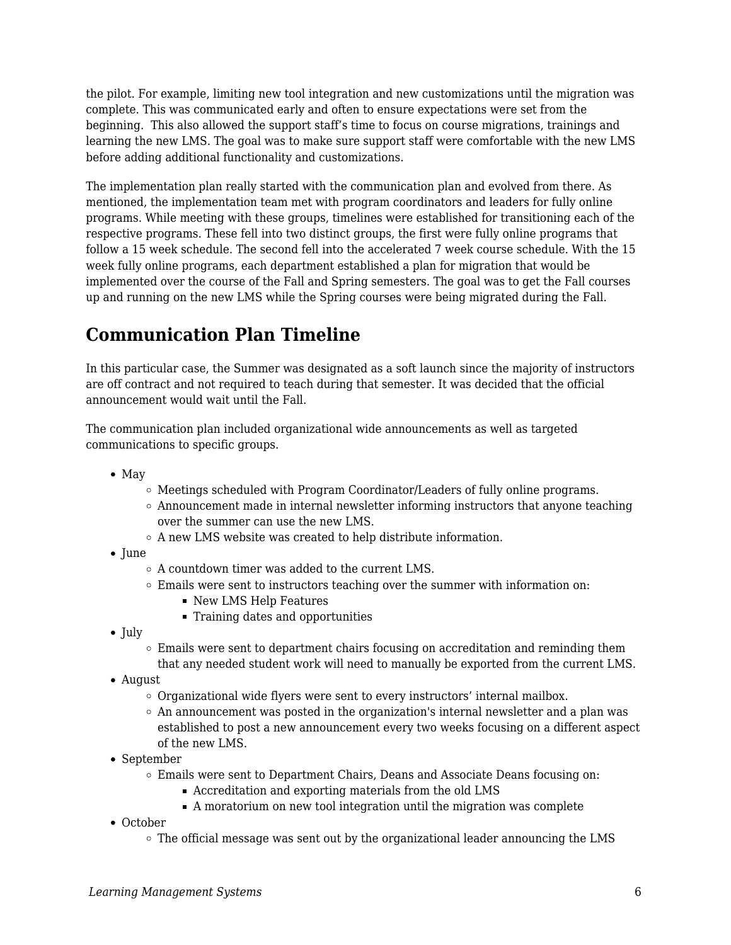the pilot. For example, limiting new tool integration and new customizations until the migration was complete. This was communicated early and often to ensure expectations were set from the beginning. This also allowed the support staff's time to focus on course migrations, trainings and learning the new LMS. The goal was to make sure support staff were comfortable with the new LMS before adding additional functionality and customizations.

The implementation plan really started with the communication plan and evolved from there. As mentioned, the implementation team met with program coordinators and leaders for fully online programs. While meeting with these groups, timelines were established for transitioning each of the respective programs. These fell into two distinct groups, the first were fully online programs that follow a 15 week schedule. The second fell into the accelerated 7 week course schedule. With the 15 week fully online programs, each department established a plan for migration that would be implemented over the course of the Fall and Spring semesters. The goal was to get the Fall courses up and running on the new LMS while the Spring courses were being migrated during the Fall.

# **Communication Plan Timeline**

In this particular case, the Summer was designated as a soft launch since the majority of instructors are off contract and not required to teach during that semester. It was decided that the official announcement would wait until the Fall.

The communication plan included organizational wide announcements as well as targeted communications to specific groups.

- $\bullet$  May
	- $\circ$  Meetings scheduled with Program Coordinator/Leaders of fully online programs.
	- $\circ$  Announcement made in internal newsletter informing instructors that anyone teaching over the summer can use the new LMS.
	- $\circ$  A new LMS website was created to help distribute information.
- June
	- A countdown timer was added to the current LMS.
	- Emails were sent to instructors teaching over the summer with information on:
		- New LMS Help Features
		- Training dates and opportunities
- $\bullet$  July
	- Emails were sent to department chairs focusing on accreditation and reminding them that any needed student work will need to manually be exported from the current LMS.
- August
	- $\circ$  Organizational wide flyers were sent to every instructors' internal mailbox.
	- $\circ$  An announcement was posted in the organization's internal newsletter and a plan was established to post a new announcement every two weeks focusing on a different aspect of the new LMS.
- September
	- Emails were sent to Department Chairs, Deans and Associate Deans focusing on:
		- Accreditation and exporting materials from the old LMS
		- A moratorium on new tool integration until the migration was complete
- October
	- $\circ$  The official message was sent out by the organizational leader announcing the LMS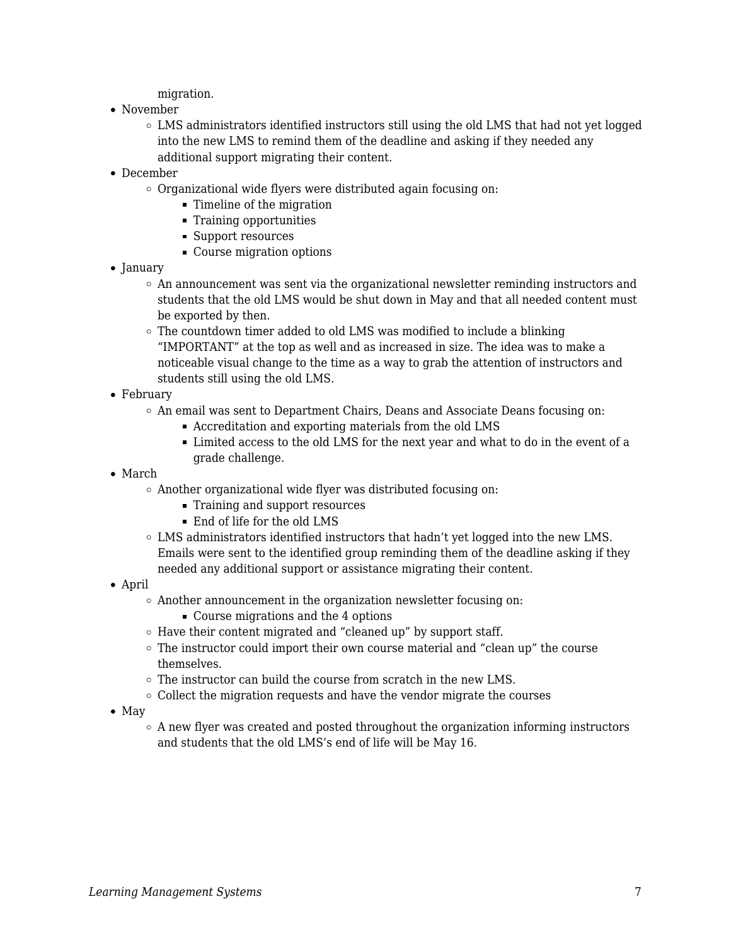migration.

- November
	- LMS administrators identified instructors still using the old LMS that had not yet logged into the new LMS to remind them of the deadline and asking if they needed any additional support migrating their content.
- December
	- Organizational wide flyers were distributed again focusing on:
		- Timeline of the migration
		- Training opportunities
		- Support resources
		- Course migration options
- January
	- $\circ$  An announcement was sent via the organizational newsletter reminding instructors and students that the old LMS would be shut down in May and that all needed content must be exported by then.
	- $\circ$  The countdown timer added to old LMS was modified to include a blinking "IMPORTANT" at the top as well and as increased in size. The idea was to make a noticeable visual change to the time as a way to grab the attention of instructors and students still using the old LMS.
- February
	- An email was sent to Department Chairs, Deans and Associate Deans focusing on:
		- Accreditation and exporting materials from the old LMS
		- Limited access to the old LMS for the next year and what to do in the event of a grade challenge.
- March
	- Another organizational wide flyer was distributed focusing on:
		- **Training and support resources**
		- End of life for the old LMS
	- LMS administrators identified instructors that hadn't yet logged into the new LMS. Emails were sent to the identified group reminding them of the deadline asking if they needed any additional support or assistance migrating their content.
- April
	- Another announcement in the organization newsletter focusing on:
		- **Course migrations and the 4 options**
	- $\circ$  Have their content migrated and "cleaned up" by support staff.
	- $\circ$  The instructor could import their own course material and "clean up" the course themselves.
	- The instructor can build the course from scratch in the new LMS.
	- $\circ$  Collect the migration requests and have the vendor migrate the courses
- $\bullet$  May
	- $\circ$  A new flyer was created and posted throughout the organization informing instructors and students that the old LMS's end of life will be May 16.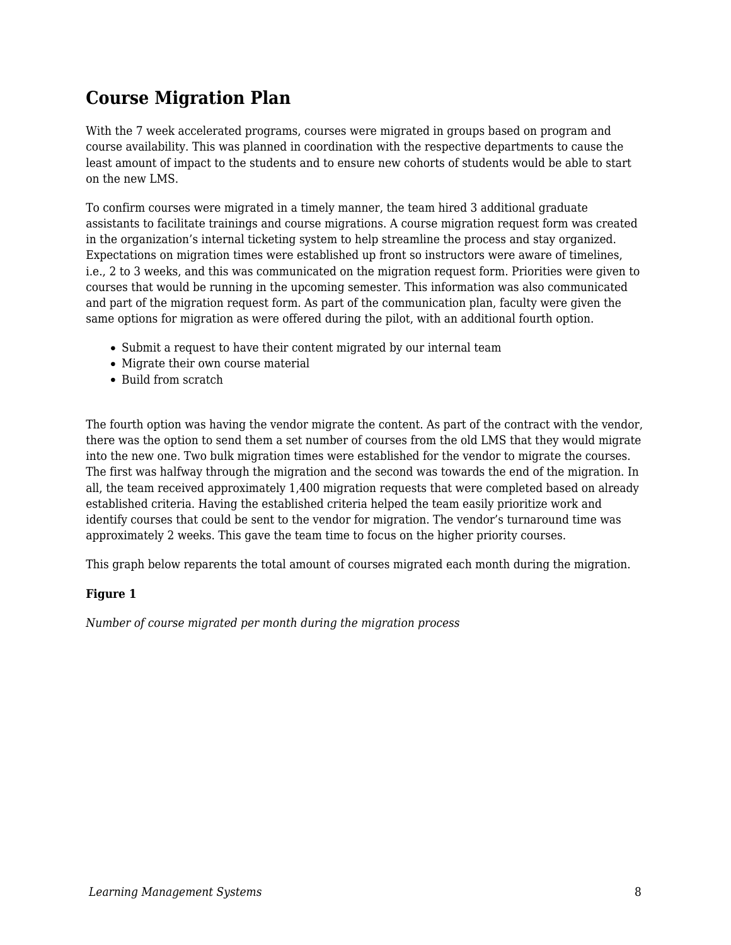# **Course Migration Plan**

With the 7 week accelerated programs, courses were migrated in groups based on program and course availability. This was planned in coordination with the respective departments to cause the least amount of impact to the students and to ensure new cohorts of students would be able to start on the new LMS.

To confirm courses were migrated in a timely manner, the team hired 3 additional graduate assistants to facilitate trainings and course migrations. A course migration request form was created in the organization's internal ticketing system to help streamline the process and stay organized. Expectations on migration times were established up front so instructors were aware of timelines, i.e., 2 to 3 weeks, and this was communicated on the migration request form. Priorities were given to courses that would be running in the upcoming semester. This information was also communicated and part of the migration request form. As part of the communication plan, faculty were given the same options for migration as were offered during the pilot, with an additional fourth option.

- Submit a request to have their content migrated by our internal team
- Migrate their own course material
- Build from scratch

The fourth option was having the vendor migrate the content. As part of the contract with the vendor, there was the option to send them a set number of courses from the old LMS that they would migrate into the new one. Two bulk migration times were established for the vendor to migrate the courses. The first was halfway through the migration and the second was towards the end of the migration. In all, the team received approximately 1,400 migration requests that were completed based on already established criteria. Having the established criteria helped the team easily prioritize work and identify courses that could be sent to the vendor for migration. The vendor's turnaround time was approximately 2 weeks. This gave the team time to focus on the higher priority courses.

This graph below reparents the total amount of courses migrated each month during the migration.

#### **Figure 1**

*Number of course migrated per month during the migration process*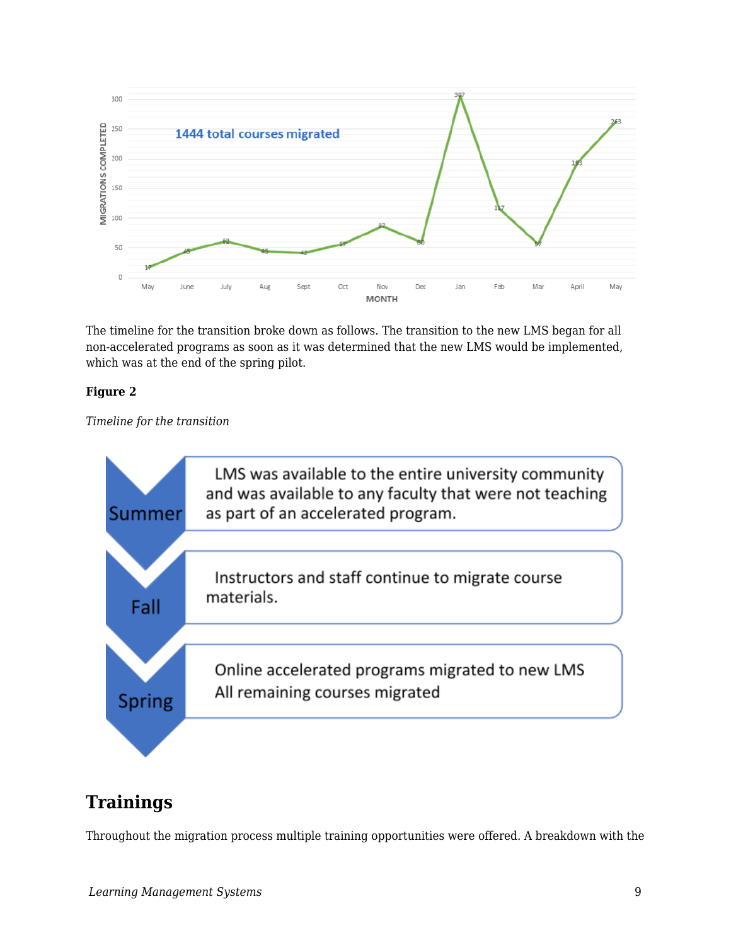

The timeline for the transition broke down as follows. The transition to the new LMS began for all non-accelerated programs as soon as it was determined that the new LMS would be implemented, which was at the end of the spring pilot.

#### **Figure 2**

*Timeline for the transition*



# **Trainings**

Throughout the migration process multiple training opportunities were offered. A breakdown with the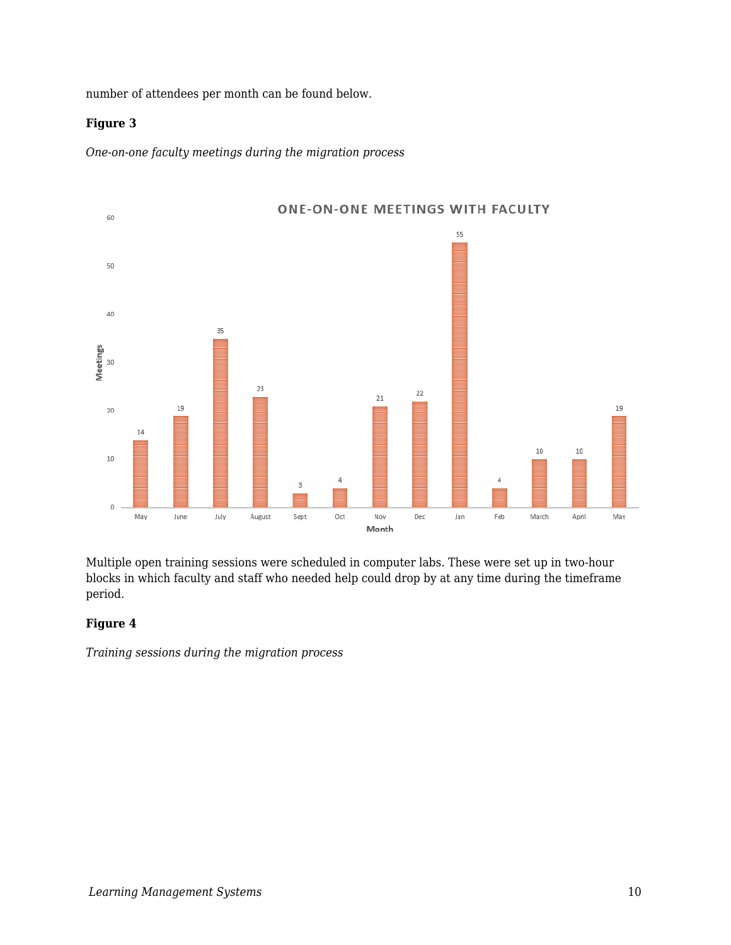number of attendees per month can be found below.

#### **Figure 3**

*One-on-one faculty meetings during the migration process*



Multiple open training sessions were scheduled in computer labs. These were set up in two-hour blocks in which faculty and staff who needed help could drop by at any time during the timeframe period.

#### **Figure 4**

*Training sessions during the migration process*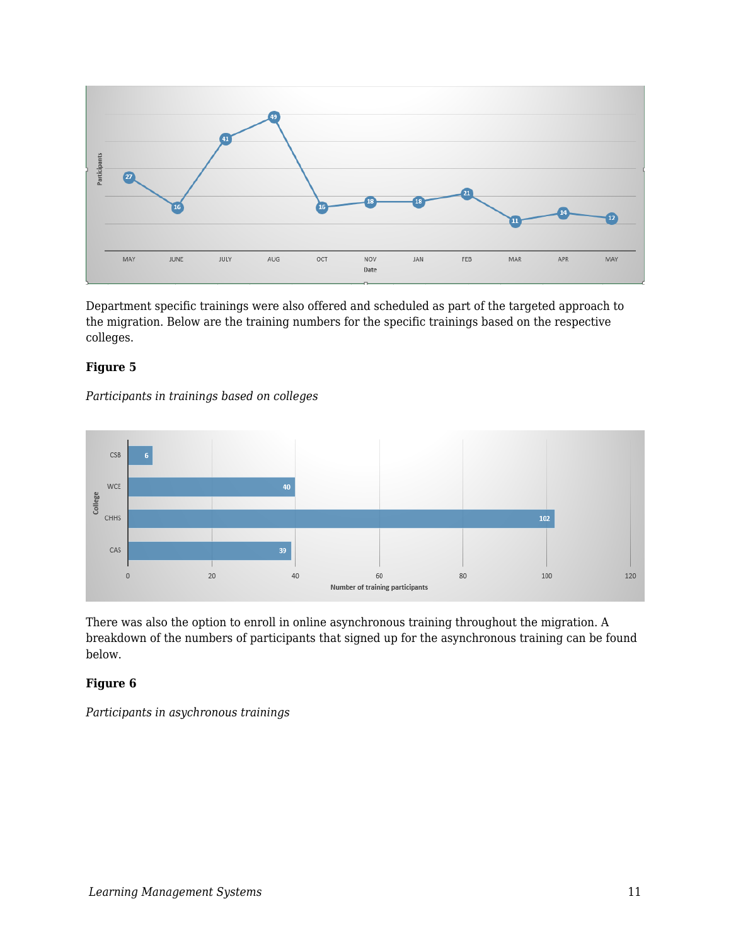

Department specific trainings were also offered and scheduled as part of the targeted approach to the migration. Below are the training numbers for the specific trainings based on the respective colleges.

#### **Figure 5**

*Participants in trainings based on colleges*



There was also the option to enroll in online asynchronous training throughout the migration. A breakdown of the numbers of participants that signed up for the asynchronous training can be found below.

#### **Figure 6**

*Participants in asychronous trainings*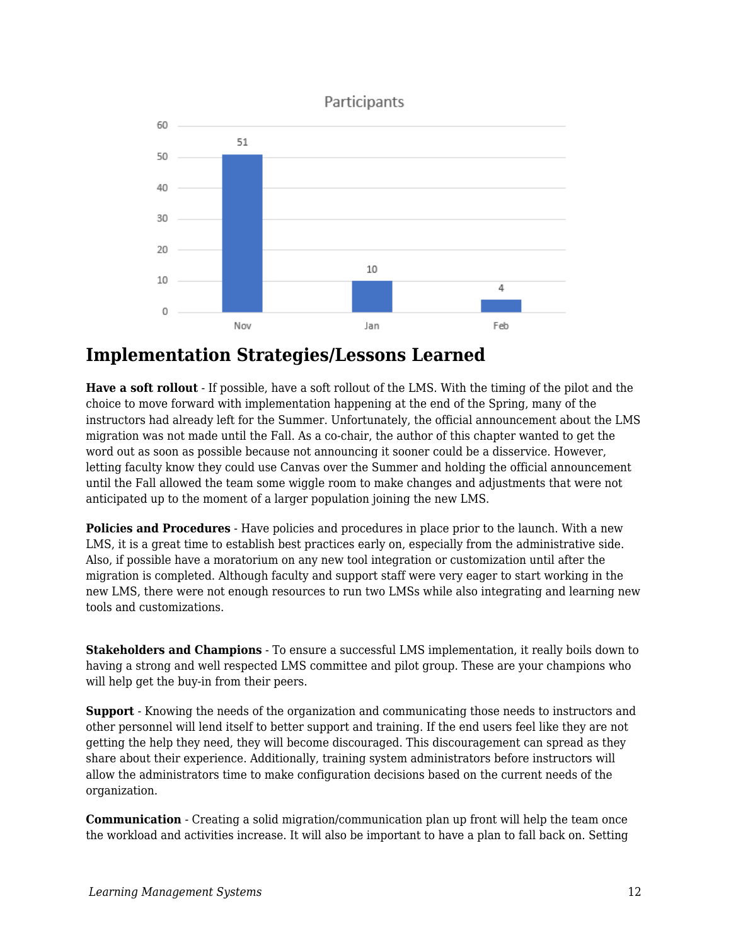

### **Implementation Strategies/Lessons Learned**

**Have a soft rollout** - If possible, have a soft rollout of the LMS. With the timing of the pilot and the choice to move forward with implementation happening at the end of the Spring, many of the instructors had already left for the Summer. Unfortunately, the official announcement about the LMS migration was not made until the Fall. As a co-chair, the author of this chapter wanted to get the word out as soon as possible because not announcing it sooner could be a disservice. However, letting faculty know they could use Canvas over the Summer and holding the official announcement until the Fall allowed the team some wiggle room to make changes and adjustments that were not anticipated up to the moment of a larger population joining the new LMS.

**Policies and Procedures** - Have policies and procedures in place prior to the launch. With a new LMS, it is a great time to establish best practices early on, especially from the administrative side. Also, if possible have a moratorium on any new tool integration or customization until after the migration is completed. Although faculty and support staff were very eager to start working in the new LMS, there were not enough resources to run two LMSs while also integrating and learning new tools and customizations.

**Stakeholders and Champions** - To ensure a successful LMS implementation, it really boils down to having a strong and well respected LMS committee and pilot group. These are your champions who will help get the buy-in from their peers.

**Support** - Knowing the needs of the organization and communicating those needs to instructors and other personnel will lend itself to better support and training. If the end users feel like they are not getting the help they need, they will become discouraged. This discouragement can spread as they share about their experience. Additionally, training system administrators before instructors will allow the administrators time to make configuration decisions based on the current needs of the organization.

**Communication** - Creating a solid migration/communication plan up front will help the team once the workload and activities increase. It will also be important to have a plan to fall back on. Setting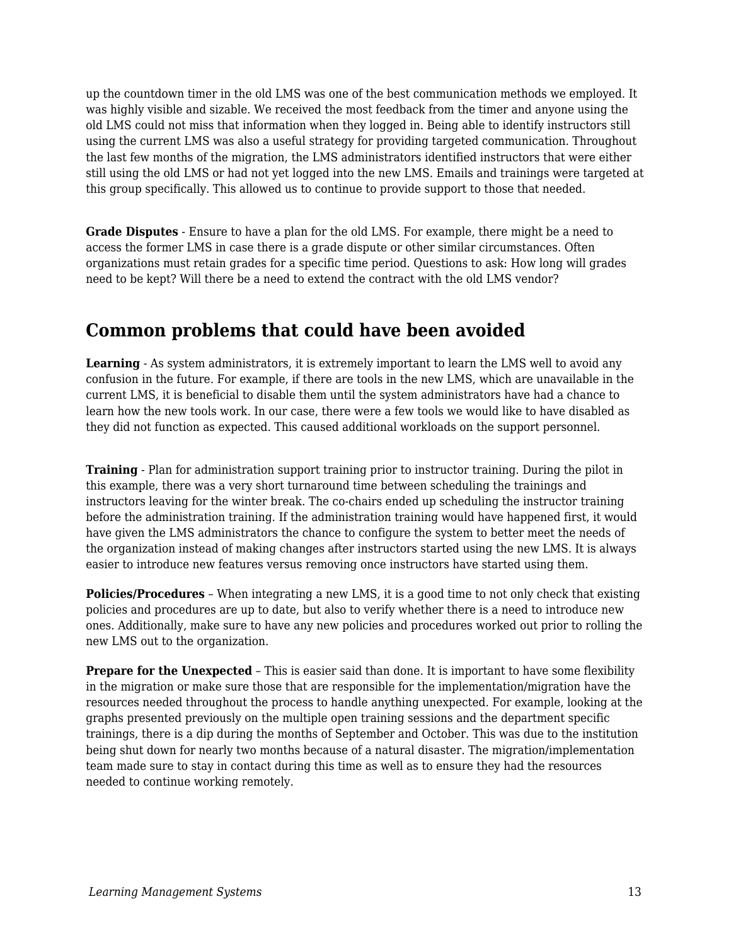up the countdown timer in the old LMS was one of the best communication methods we employed. It was highly visible and sizable. We received the most feedback from the timer and anyone using the old LMS could not miss that information when they logged in. Being able to identify instructors still using the current LMS was also a useful strategy for providing targeted communication. Throughout the last few months of the migration, the LMS administrators identified instructors that were either still using the old LMS or had not yet logged into the new LMS. Emails and trainings were targeted at this group specifically. This allowed us to continue to provide support to those that needed.

**Grade Disputes** - Ensure to have a plan for the old LMS. For example, there might be a need to access the former LMS in case there is a grade dispute or other similar circumstances. Often organizations must retain grades for a specific time period. Questions to ask: How long will grades need to be kept? Will there be a need to extend the contract with the old LMS vendor?

# **Common problems that could have been avoided**

**Learning** - As system administrators, it is extremely important to learn the LMS well to avoid any confusion in the future. For example, if there are tools in the new LMS, which are unavailable in the current LMS, it is beneficial to disable them until the system administrators have had a chance to learn how the new tools work. In our case, there were a few tools we would like to have disabled as they did not function as expected. This caused additional workloads on the support personnel.

**Training** - Plan for administration support training prior to instructor training. During the pilot in this example, there was a very short turnaround time between scheduling the trainings and instructors leaving for the winter break. The co-chairs ended up scheduling the instructor training before the administration training. If the administration training would have happened first, it would have given the LMS administrators the chance to configure the system to better meet the needs of the organization instead of making changes after instructors started using the new LMS. It is always easier to introduce new features versus removing once instructors have started using them.

**Policies/Procedures** – When integrating a new LMS, it is a good time to not only check that existing policies and procedures are up to date, but also to verify whether there is a need to introduce new ones. Additionally, make sure to have any new policies and procedures worked out prior to rolling the new LMS out to the organization.

**Prepare for the Unexpected** – This is easier said than done. It is important to have some flexibility in the migration or make sure those that are responsible for the implementation/migration have the resources needed throughout the process to handle anything unexpected. For example, looking at the graphs presented previously on the multiple open training sessions and the department specific trainings, there is a dip during the months of September and October. This was due to the institution being shut down for nearly two months because of a natural disaster. The migration/implementation team made sure to stay in contact during this time as well as to ensure they had the resources needed to continue working remotely.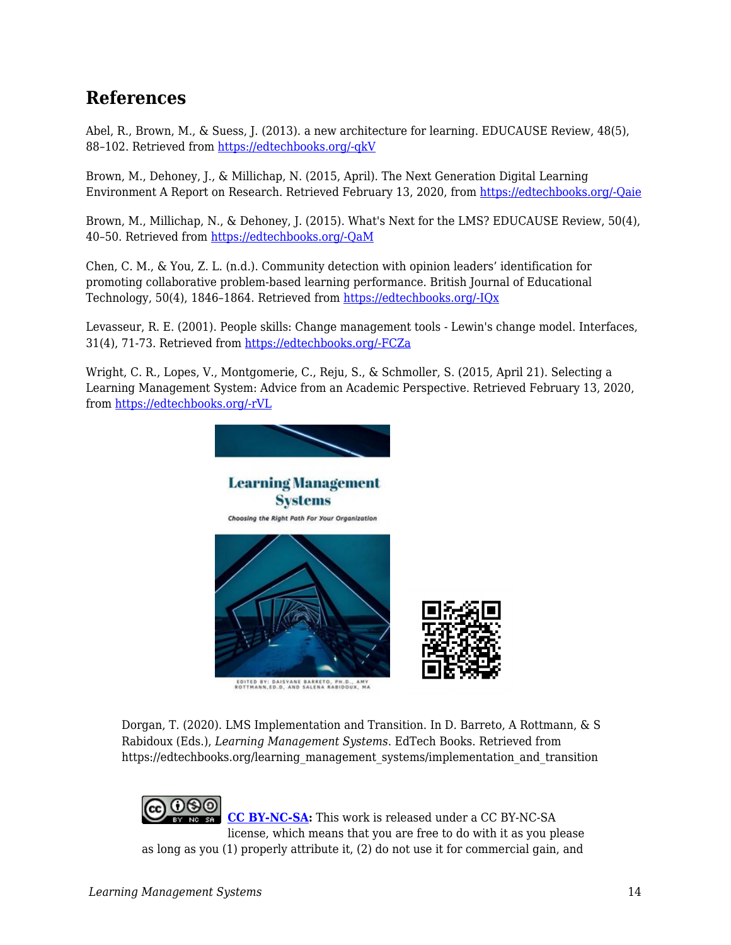### **References**

Abel, R., Brown, M., & Suess, J. (2013). a new architecture for learning. EDUCAUSE Review, 48(5), 88–102. Retrieved from [https://edtechbooks.org/-qkV](https://www.google.com/url?q=https://er.educause.edu/articles/2013/10/a-new-architecture-for-learning&sa=D&ust=1585948670145000)

Brown, M., Dehoney, J., & Millichap, N. (2015, April). The Next Generation Digital Learning Environment A Report on Research. Retrieved February 13, 2020, from [https://edtechbooks.org/-Qaie](https://www.google.com/url?q=https://library.educause.edu/-/media/files/library/2015/4/eli3035-pdf.pdf&sa=D&ust=1585948670145000)

Brown, M., Millichap, N., & Dehoney, J. (2015). What's Next for the LMS? EDUCAUSE Review, 50(4), 40–50. Retrieved from [https://edtechbooks.org/-QaM](https://www.google.com/url?q=https://er.educause.edu/articles/2015/6/whats-next-for-the-lms&sa=D&ust=1585948670145000)

Chen, C. M., & You, Z. L. (n.d.). Community detection with opinion leaders' identification for promoting collaborative problem-based learning performance. British Journal of Educational Technology, 50(4), 1846–1864. Retrieved from [https://edtechbooks.org/-IQx](https://www.google.com/url?q=https://onlinelibrary-wiley-com.liblink.uncw.edu/doi/abs/10.1111/bjet.12673&sa=D&ust=1585948670146000)

Levasseur, R. E. (2001). People skills: Change management tools - Lewin's change model. Interfaces, 31(4), 71-73. Retrieved from [https://edtechbooks.org/-FCZa](https://www.google.com/url?q=https://search-proquest-com.liblink.uncw.edu/docview/217124358?accountid%3D14606&sa=D&ust=1585948670146000)

Wright, C. R., Lopes, V., Montgomerie, C., Reju, S., & Schmoller, S. (2015, April 21). Selecting a Learning Management System: Advice from an Academic Perspective. Retrieved February 13, 2020, from [https://edtechbooks.org/-rVL](https://www.google.com/url?q=https://er.educause.edu/articles/2014/4/selecting-a-learning-management-system-advice-from-an-academic-perspective&sa=D&ust=1585948670147000)



Dorgan, T. (2020). LMS Implementation and Transition. In D. Barreto, A Rottmann, & S Rabidoux (Eds.), *Learning Management Systems*. EdTech Books. Retrieved from https://edtechbooks.org/learning\_management\_systems/implementation\_and\_transition

**[CC BY-NC-SA:](https://creativecommons.org/licenses/by-nc-sa/4.0)** This work is released under a CC BY-NC-SA license, which means that you are free to do with it as you please as long as you (1) properly attribute it, (2) do not use it for commercial gain, and